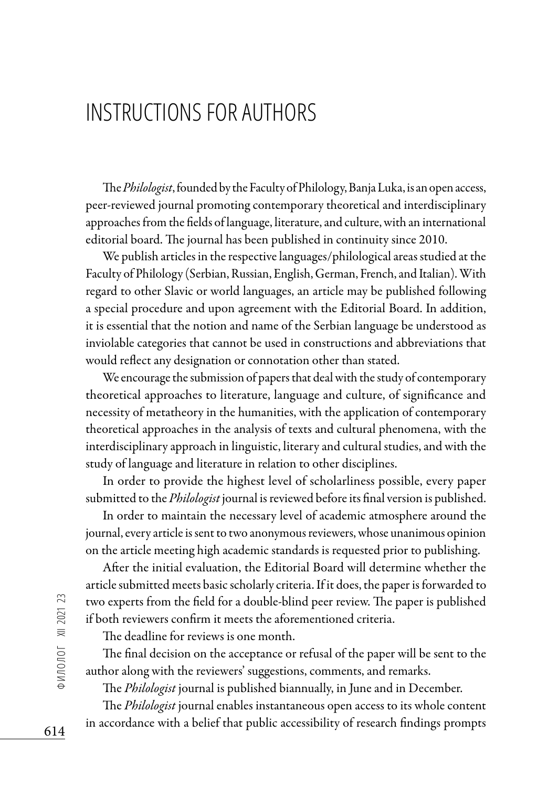## INSTRUCTIONS FOR AUTHORS

The *Philologist*, founded by the Faculty of Philology, Banja Luka, is an open access, peer-reviewed journal promoting contemporary theoretical and interdisciplinary approaches from the fields of language, literature, and culture, with an international editorial board. The journal has been published in continuity since 2010.

We publish articles in the respective languages/philological areas studied at the Faculty of Philology (Serbian, Russian, English, German, French, and Italian). With regard to other Slavic or world languages, an article may be published following a special procedure and upon agreement with the Editorial Board. In addition, it is essential that the notion and name of the Serbian language be understood as inviolable categories that cannot be used in constructions and abbreviations that would reflect any designation or connotation other than stated.

We encourage the submission of papers that deal with the study of contemporary theoretical approaches to literature, language and culture, of significance and necessity of metatheory in the humanities, with the application of contemporary theoretical approaches in the analysis of texts and cultural phenomena, with the interdisciplinary approach in linguistic, literary and cultural studies, and with the study of language and literature in relation to other disciplines.

In order to provide the highest level of scholarliness possible, every paper submitted to the *Philologist* journal is reviewed before its final version is published.

In order to maintain the necessary level of academic atmosphere around the journal, every article is sent to two anonymous reviewers, whose unanimous opinion on the article meeting high academic standards is requested prior to publishing.

After the initial evaluation, the Editorial Board will determine whether the article submitted meets basic scholarly criteria. If it does, the paper is forwarded to two experts from the field for a double-blind peer review. The paper is published if both reviewers confirm it meets the aforementioned criteria.

The deadline for reviews is one month.

The final decision on the acceptance or refusal of the paper will be sent to the author along with the reviewers' suggestions, comments, and remarks.

The *Philologist* journal is published biannually, in June and in December.

The *Philologist* journal enables instantaneous open access to its whole content in accordance with a belief that public accessibility of research findings prompts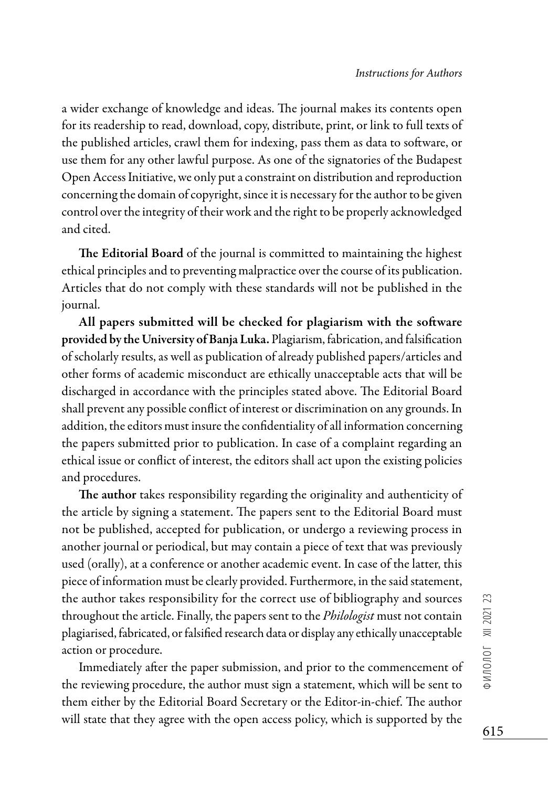a wider exchange of knowledge and ideas. The journal makes its contents open for its readership to read, download, copy, distribute, print, or link to full texts of the published articles, crawl them for indexing, pass them as data to software, or use them for any other lawful purpose. As one of the signatories of the Budapest Open Access Initiative, we only put a constraint on distribution and reproduction concerning the domain of copyright, since it is necessary for the author to be given control over the integrity of their work and the right to be properly acknowledged and cited.

The Editorial Board of the journal is committed to maintaining the highest ethical principles and to preventing malpractice over the course of its publication. Articles that do not comply with these standards will not be published in the journal.

All papers submitted will be checked for plagiarism with the software provided by the University of Banja Luka. Plagiarism, fabrication, and falsification of scholarly results, as well as publication of already published papers/articles and other forms of academic misconduct are ethically unacceptable acts that will be discharged in accordance with the principles stated above. The Editorial Board shall prevent any possible conflict of interest or discrimination on any grounds. In addition, the editors must insure the confidentiality of all information concerning the papers submitted prior to publication. In case of a complaint regarding an ethical issue or conflict of interest, the editors shall act upon the existing policies and procedures.

The author takes responsibility regarding the originality and authenticity of the article by signing a statement. The papers sent to the Editorial Board must not be published, accepted for publication, or undergo a reviewing process in another journal or periodical, but may contain a piece of text that was previously used (orally), at a conference or another academic event. In case of the latter, this piece of information must be clearly provided. Furthermore, in the said statement, the author takes responsibility for the correct use of bibliography and sources throughout the article. Finally, the papers sent to the *Philologist* must not contain plagiarised, fabricated, or falsified research data or display any ethically unacceptable action or procedure.

Immediately after the paper submission, and prior to the commencement of the reviewing procedure, the author must sign a statement, which will be sent to them either by the Editorial Board Secretary or the Editor-in-chief. The author will state that they agree with the open access policy, which is supported by the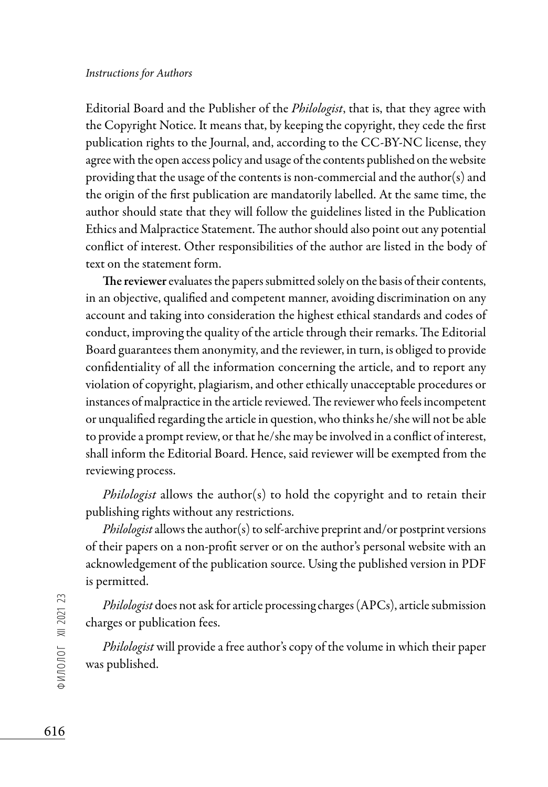## *Instructions for Authors*

Editorial Board and the Publisher of the *Philologist*, that is, that they agree with the Copyright Notice. It means that, by keeping the copyright, they cede the first publication rights to the Journal, and, according to the CC-BY-NC license, they agree with the open access policy and usage of the contents published on the website providing that the usage of the contents is non-commercial and the author(s) and the origin of the first publication are mandatorily labelled. At the same time, the author should state that they will follow the guidelines listed in the Publication Ethics and Malpractice Statement. The author should also point out any potential conflict of interest. Other responsibilities of the author are listed in the body of text on the statement form.

The reviewer evaluates the papers submitted solely on the basis of their contents, in an objective, qualified and competent manner, avoiding discrimination on any account and taking into consideration the highest ethical standards and codes of conduct, improving the quality of the article through their remarks. The Editorial Board guarantees them anonymity, and the reviewer, in turn, is obliged to provide confidentiality of all the information concerning the article, and to report any violation of copyright, plagiarism, and other ethically unacceptable procedures or instances of malpractice in the article reviewed. The reviewer who feels incompetent or unqualified regarding the article in question, who thinks he/she will not be able to provide a prompt review, or that he/she may be involved in a conflict of interest, shall inform the Editorial Board. Hence, said reviewer will be exempted from the reviewing process.

*Philologist* allows the author(s) to hold the copyright and to retain their publishing rights without any restrictions.

*Philologist* allows the author(s) to self-archive preprint and/or postprint versions of their papers on a non-profit server or on the author's personal website with an acknowledgement of the publication source. Using the published version in PDF is permitted.

*Philologist* does not ask for article processing charges (APCs), article submission charges or publication fees.

*Philologist* will provide a free author's copy of the volume in which their paper was published.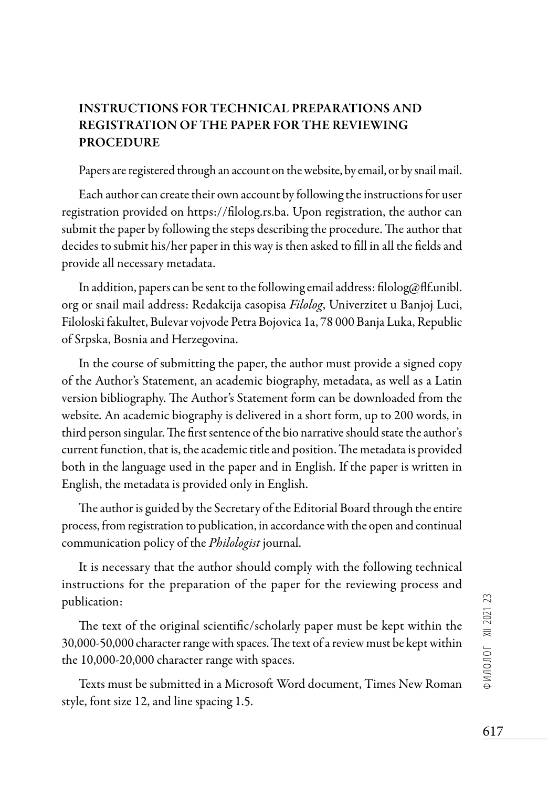## INSTRUCTIONS FOR TECHNICAL PREPARATIONS AND REGISTRATION OF THE PAPER FOR THE REVIEWING PROCEDURE

Papers are registered through an account on the website, by email, or by snail mail.

Each author can create their own account by following the instructions for user registration provided on https://filolog.rs.ba. Upon registration, the author can submit the paper by following the steps describing the procedure. The author that decides to submit his/her paper in this way is then asked to fill in all the fields and provide all necessary metadata.

In addition, papers can be sent to the following email address: filolog@flf.unibl. org or snail mail address: Redakcija casopisa *Filolog*, Univerzitet u Banjoj Luci, Filoloski fakultet, Bulevar vojvode Petra Bojovica 1a, 78 000 Banja Luka, Republic of Srpska, Bosnia and Herzegovina.

In the course of submitting the paper, the author must provide a signed copy of the Author's Statement, an academic biography, metadata, as well as a Latin version bibliography. The Author's Statement form can be downloaded from the website. An academic biography is delivered in a short form, up to 200 words, in third person singular. The first sentence of the bio narrative should state the author's current function, that is, the academic title and position. The metadata is provided both in the language used in the paper and in English. If the paper is written in English, the metadata is provided only in English.

The author is guided by the Secretary of the Editorial Board through the entire process, from registration to publication, in accordance with the open and continual communication policy of the *Philologist* journal.

It is necessary that the author should comply with the following technical instructions for the preparation of the paper for the reviewing process and publication:

The text of the original scientific/scholarly paper must be kept within the 30,000-50,000 character range with spaces. The text of a review must be kept within the 10,000-20,000 character range with spaces.

Texts must be submitted in a Microsoft Word document, Times New Roman style, font size 12, and line spacing 1.5.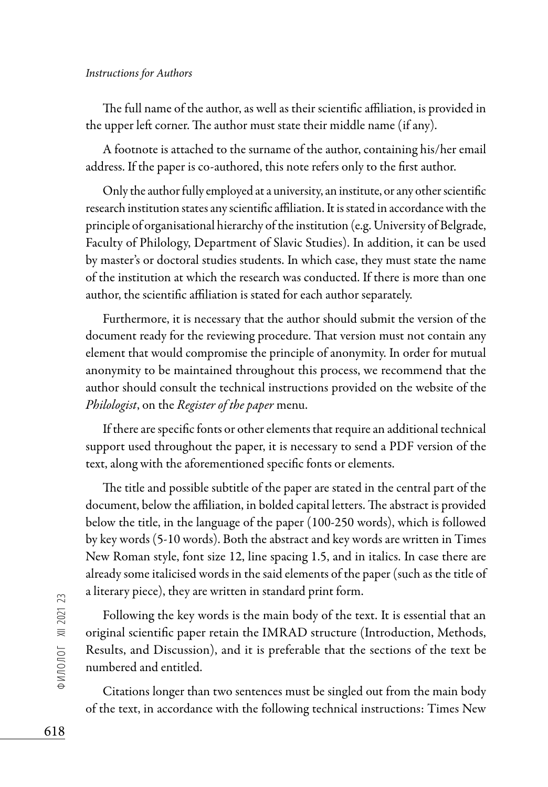## *Instructions for Authors*

The full name of the author, as well as their scientific affiliation, is provided in the upper left corner. The author must state their middle name (if any).

A footnote is attached to the surname of the author, containing his/her email address. If the paper is co-authored, this note refers only to the first author.

Only the author fully employed at a university, an institute, or any other scientific research institution states any scientific affiliation. It is stated in accordance with the principle of organisational hierarchy of the institution (e.g. University of Belgrade, Faculty of Philology, Department of Slavic Studies). In addition, it can be used by master's or doctoral studies students. In which case, they must state the name of the institution at which the research was conducted. If there is more than one author, the scientific affiliation is stated for each author separately.

Furthermore, it is necessary that the author should submit the version of the document ready for the reviewing procedure. That version must not contain any element that would compromise the principle of anonymity. In order for mutual anonymity to be maintained throughout this process, we recommend that the author should consult the technical instructions provided on the website of the *Philologist*, on the *Register of the paper* menu.

If there are specific fonts or other elements that require an additional technical support used throughout the paper, it is necessary to send a PDF version of the text, along with the aforementioned specific fonts or elements.

The title and possible subtitle of the paper are stated in the central part of the document, below the affiliation, in bolded capital letters. The abstract is provided below the title, in the language of the paper (100-250 words), which is followed by key words (5-10 words). Both the abstract and key words are written in Times New Roman style, font size 12, line spacing 1.5, and in italics. In case there are already some italicised words in the said elements of the paper (such as the title of a literary piece), they are written in standard print form.

Following the key words is the main body of the text. It is essential that an original scientific paper retain the IMRAD structure (Introduction, Methods, Results, and Discussion), and it is preferable that the sections of the text be numbered and entitled.

Citations longer than two sentences must be singled out from the main body of the text, in accordance with the following technical instructions: Times New